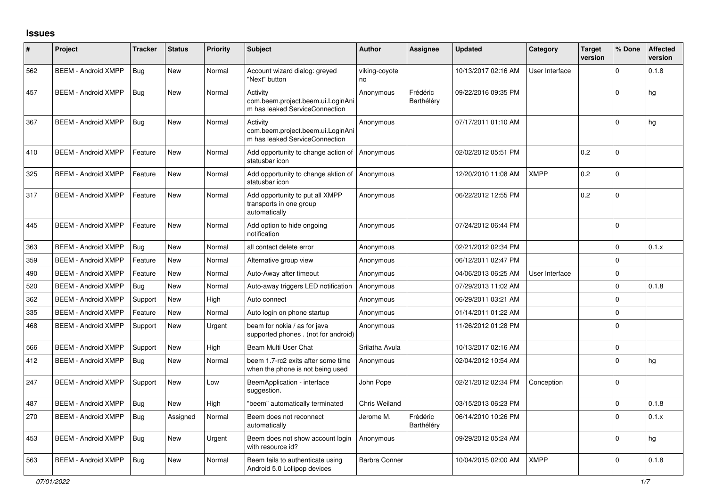## **Issues**

| $\vert$ # | Project                    | <b>Tracker</b> | <b>Status</b> | <b>Priority</b> | <b>Subject</b>                                                                  | <b>Author</b>        | <b>Assignee</b>        | <b>Updated</b>      | Category       | <b>Target</b><br>version | % Done      | <b>Affected</b><br>version |
|-----------|----------------------------|----------------|---------------|-----------------|---------------------------------------------------------------------------------|----------------------|------------------------|---------------------|----------------|--------------------------|-------------|----------------------------|
| 562       | <b>BEEM - Android XMPP</b> | Bug            | <b>New</b>    | Normal          | Account wizard dialog: greyed<br>"Next" button                                  | viking-coyote<br>no  |                        | 10/13/2017 02:16 AM | User Interface |                          | $\Omega$    | 0.1.8                      |
| 457       | <b>BEEM - Android XMPP</b> | Bug            | <b>New</b>    | Normal          | Activity<br>com.beem.project.beem.ui.LoginAni<br>m has leaked ServiceConnection | Anonymous            | Frédéric<br>Barthéléry | 09/22/2016 09:35 PM |                |                          | $\Omega$    | hg                         |
| 367       | <b>BEEM - Android XMPP</b> | Bug            | <b>New</b>    | Normal          | Activity<br>com.beem.project.beem.ui.LoginAni<br>m has leaked ServiceConnection | Anonymous            |                        | 07/17/2011 01:10 AM |                |                          | $\Omega$    | hg                         |
| 410       | <b>BEEM - Android XMPP</b> | Feature        | <b>New</b>    | Normal          | Add opportunity to change action of<br>statusbar icon                           | Anonymous            |                        | 02/02/2012 05:51 PM |                | 0.2                      | $\Omega$    |                            |
| 325       | <b>BEEM - Android XMPP</b> | Feature        | New           | Normal          | Add opportunity to change aktion of<br>statusbar icon                           | Anonymous            |                        | 12/20/2010 11:08 AM | <b>XMPP</b>    | 0.2                      | $\Omega$    |                            |
| 317       | <b>BEEM - Android XMPP</b> | Feature        | <b>New</b>    | Normal          | Add opportunity to put all XMPP<br>transports in one group<br>automatically     | Anonymous            |                        | 06/22/2012 12:55 PM |                | 0.2                      | $\Omega$    |                            |
| 445       | <b>BEEM - Android XMPP</b> | Feature        | <b>New</b>    | Normal          | Add option to hide ongoing<br>notification                                      | Anonymous            |                        | 07/24/2012 06:44 PM |                |                          | $\Omega$    |                            |
| 363       | <b>BEEM - Android XMPP</b> | <b>Bug</b>     | <b>New</b>    | Normal          | all contact delete error                                                        | Anonymous            |                        | 02/21/2012 02:34 PM |                |                          | $\Omega$    | 0.1.x                      |
| 359       | <b>BEEM - Android XMPP</b> | Feature        | <b>New</b>    | Normal          | Alternative group view                                                          | Anonymous            |                        | 06/12/2011 02:47 PM |                |                          | $\Omega$    |                            |
| 490       | <b>BEEM - Android XMPP</b> | Feature        | New           | Normal          | Auto-Away after timeout                                                         | Anonymous            |                        | 04/06/2013 06:25 AM | User Interface |                          | $\mathbf 0$ |                            |
| 520       | <b>BEEM - Android XMPP</b> | <b>Bug</b>     | New           | Normal          | Auto-away triggers LED notification                                             | Anonymous            |                        | 07/29/2013 11:02 AM |                |                          | $\mathbf 0$ | 0.1.8                      |
| 362       | <b>BEEM - Android XMPP</b> | Support        | <b>New</b>    | High            | Auto connect                                                                    | Anonymous            |                        | 06/29/2011 03:21 AM |                |                          | $\Omega$    |                            |
| 335       | <b>BEEM - Android XMPP</b> | Feature        | <b>New</b>    | Normal          | Auto login on phone startup                                                     | Anonymous            |                        | 01/14/2011 01:22 AM |                |                          | $\Omega$    |                            |
| 468       | <b>BEEM - Android XMPP</b> | Support        | New           | Urgent          | beam for nokia / as for java<br>supported phones . (not for android)            | Anonymous            |                        | 11/26/2012 01:28 PM |                |                          | $\Omega$    |                            |
| 566       | <b>BEEM - Android XMPP</b> | Support        | <b>New</b>    | High            | Beam Multi User Chat                                                            | Srilatha Avula       |                        | 10/13/2017 02:16 AM |                |                          | $\Omega$    |                            |
| 412       | <b>BEEM - Android XMPP</b> | <b>Bug</b>     | <b>New</b>    | Normal          | beem 1.7-rc2 exits after some time<br>when the phone is not being used          | Anonymous            |                        | 02/04/2012 10:54 AM |                |                          | $\Omega$    | hg                         |
| 247       | <b>BEEM - Android XMPP</b> | Support        | New           | Low             | BeemApplication - interface<br>suggestion.                                      | John Pope            |                        | 02/21/2012 02:34 PM | Conception     |                          | $\Omega$    |                            |
| 487       | <b>BEEM - Android XMPP</b> | Bug            | <b>New</b>    | High            | "beem" automatically terminated                                                 | Chris Weiland        |                        | 03/15/2013 06:23 PM |                |                          | $\Omega$    | 0.1.8                      |
| 270       | <b>BEEM - Android XMPP</b> | Bug            | Assigned      | Normal          | Beem does not reconnect<br>automatically                                        | Jerome M.            | Frédéric<br>Barthéléry | 06/14/2010 10:26 PM |                |                          | $\Omega$    | 0.1.x                      |
| 453       | <b>BEEM - Android XMPP</b> | <b>Bug</b>     | <b>New</b>    | Urgent          | Beem does not show account login<br>with resource id?                           | Anonymous            |                        | 09/29/2012 05:24 AM |                |                          | $\Omega$    | hg                         |
| 563       | <b>BEEM - Android XMPP</b> | Bug            | <b>New</b>    | Normal          | Beem fails to authenticate using<br>Android 5.0 Lollipop devices                | <b>Barbra Conner</b> |                        | 10/04/2015 02:00 AM | <b>XMPP</b>    |                          | $\Omega$    | 0.1.8                      |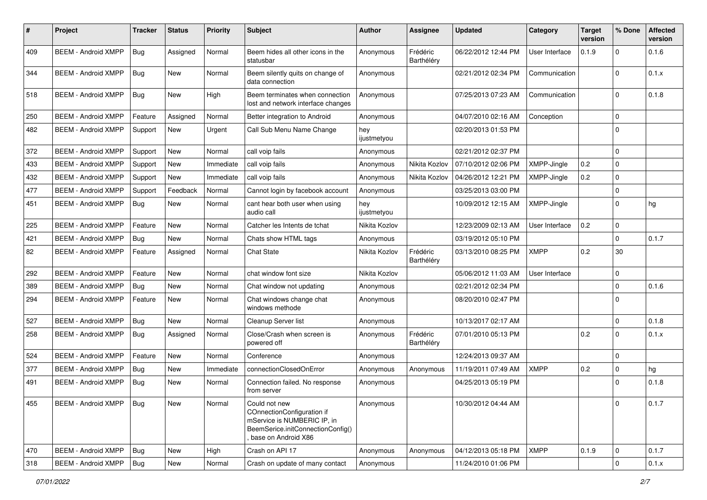| #   | Project                    | <b>Tracker</b> | <b>Status</b> | <b>Priority</b> | Subject                                                                                                                                | <b>Author</b>      | Assignee               | <b>Updated</b>      | Category       | <b>Target</b><br>version | % Done      | <b>Affected</b><br>version |
|-----|----------------------------|----------------|---------------|-----------------|----------------------------------------------------------------------------------------------------------------------------------------|--------------------|------------------------|---------------------|----------------|--------------------------|-------------|----------------------------|
| 409 | <b>BEEM - Android XMPP</b> | Bug            | Assigned      | Normal          | Beem hides all other icons in the<br>statusbar                                                                                         | Anonymous          | Frédéric<br>Barthéléry | 06/22/2012 12:44 PM | User Interface | 0.1.9                    | $\mathbf 0$ | 0.1.6                      |
| 344 | <b>BEEM - Android XMPP</b> | <b>Bug</b>     | New           | Normal          | Beem silently quits on change of<br>data connection                                                                                    | Anonymous          |                        | 02/21/2012 02:34 PM | Communication  |                          | $\mathbf 0$ | 0.1.x                      |
| 518 | <b>BEEM - Android XMPP</b> | Bug            | <b>New</b>    | High            | Beem terminates when connection<br>lost and network interface changes                                                                  | Anonymous          |                        | 07/25/2013 07:23 AM | Communication  |                          | $\Omega$    | 0.1.8                      |
| 250 | <b>BEEM - Android XMPP</b> | Feature        | Assigned      | Normal          | Better integration to Android                                                                                                          | Anonymous          |                        | 04/07/2010 02:16 AM | Conception     |                          | $\mathbf 0$ |                            |
| 482 | <b>BEEM - Android XMPP</b> | Support        | <b>New</b>    | Urgent          | Call Sub Menu Name Change                                                                                                              | hey<br>ijustmetyou |                        | 02/20/2013 01:53 PM |                |                          | $\Omega$    |                            |
| 372 | <b>BEEM - Android XMPP</b> | Support        | New           | Normal          | call voip fails                                                                                                                        | Anonymous          |                        | 02/21/2012 02:37 PM |                |                          | $\mathbf 0$ |                            |
| 433 | <b>BEEM - Android XMPP</b> | Support        | <b>New</b>    | Immediate       | call voip fails                                                                                                                        | Anonymous          | Nikita Kozlov          | 07/10/2012 02:06 PM | XMPP-Jingle    | 0.2                      | $\mathbf 0$ |                            |
| 432 | <b>BEEM - Android XMPP</b> | Support        | New           | Immediate       | call voip fails                                                                                                                        | Anonymous          | Nikita Kozlov          | 04/26/2012 12:21 PM | XMPP-Jingle    | 0.2                      | $\mathbf 0$ |                            |
| 477 | <b>BEEM - Android XMPP</b> | Support        | Feedback      | Normal          | Cannot login by facebook account                                                                                                       | Anonymous          |                        | 03/25/2013 03:00 PM |                |                          | $\Omega$    |                            |
| 451 | <b>BEEM - Android XMPP</b> | Bug            | <b>New</b>    | Normal          | cant hear both user when using<br>audio call                                                                                           | hey<br>ijustmetyou |                        | 10/09/2012 12:15 AM | XMPP-Jingle    |                          | $\Omega$    | hg                         |
| 225 | <b>BEEM - Android XMPP</b> | Feature        | <b>New</b>    | Normal          | Catcher les Intents de tchat                                                                                                           | Nikita Kozlov      |                        | 12/23/2009 02:13 AM | User Interface | 0.2                      | 0           |                            |
| 421 | <b>BEEM - Android XMPP</b> | Bug            | <b>New</b>    | Normal          | Chats show HTML tags                                                                                                                   | Anonymous          |                        | 03/19/2012 05:10 PM |                |                          | $\Omega$    | 0.1.7                      |
| 82  | <b>BEEM - Android XMPP</b> | Feature        | Assigned      | Normal          | <b>Chat State</b>                                                                                                                      | Nikita Kozlov      | Frédéric<br>Barthéléry | 03/13/2010 08:25 PM | <b>XMPP</b>    | 0.2                      | 30          |                            |
| 292 | <b>BEEM - Android XMPP</b> | Feature        | New           | Normal          | chat window font size                                                                                                                  | Nikita Kozlov      |                        | 05/06/2012 11:03 AM | User Interface |                          | $\mathbf 0$ |                            |
| 389 | <b>BEEM - Android XMPP</b> | Bug            | <b>New</b>    | Normal          | Chat window not updating                                                                                                               | Anonymous          |                        | 02/21/2012 02:34 PM |                |                          | $\Omega$    | 0.1.6                      |
| 294 | <b>BEEM - Android XMPP</b> | Feature        | New           | Normal          | Chat windows change chat<br>windows methode                                                                                            | Anonymous          |                        | 08/20/2010 02:47 PM |                |                          | $\Omega$    |                            |
| 527 | <b>BEEM - Android XMPP</b> | Bug            | <b>New</b>    | Normal          | Cleanup Server list                                                                                                                    | Anonymous          |                        | 10/13/2017 02:17 AM |                |                          | $\Omega$    | 0.1.8                      |
| 258 | <b>BEEM - Android XMPP</b> | Bug            | Assigned      | Normal          | Close/Crash when screen is<br>powered off                                                                                              | Anonymous          | Frédéric<br>Barthéléry | 07/01/2010 05:13 PM |                | 0.2                      | $\Omega$    | 0.1.x                      |
| 524 | <b>BEEM - Android XMPP</b> | Feature        | <b>New</b>    | Normal          | Conference                                                                                                                             | Anonymous          |                        | 12/24/2013 09:37 AM |                |                          | $\Omega$    |                            |
| 377 | <b>BEEM - Android XMPP</b> | Bug            | <b>New</b>    | Immediate       | connectionClosedOnError                                                                                                                | Anonymous          | Anonymous              | 11/19/2011 07:49 AM | <b>XMPP</b>    | 0.2                      | $\mathbf 0$ | hg                         |
| 491 | <b>BEEM - Android XMPP</b> | Bug            | <b>New</b>    | Normal          | Connection failed. No response<br>from server                                                                                          | Anonymous          |                        | 04/25/2013 05:19 PM |                |                          | $\Omega$    | 0.1.8                      |
| 455 | BEEM - Android XMPP   Bug  |                | New           | Normal          | Could not new<br>COnnectionConfiguration if<br>mService is NUMBERIC IP, in<br>BeemSerice.initConnectionConfig()<br>base on Android X86 | Anonymous          |                        | 10/30/2012 04:44 AM |                |                          | 0           | 0.1.7                      |
| 470 | <b>BEEM - Android XMPP</b> | Bug            | New           | High            | Crash on API 17                                                                                                                        | Anonymous          | Anonymous              | 04/12/2013 05:18 PM | <b>XMPP</b>    | 0.1.9                    | $\mathbf 0$ | 0.1.7                      |
| 318 | <b>BEEM - Android XMPP</b> | Bug            | New           | Normal          | Crash on update of many contact                                                                                                        | Anonymous          |                        | 11/24/2010 01:06 PM |                |                          | $\mathbf 0$ | 0.1.x                      |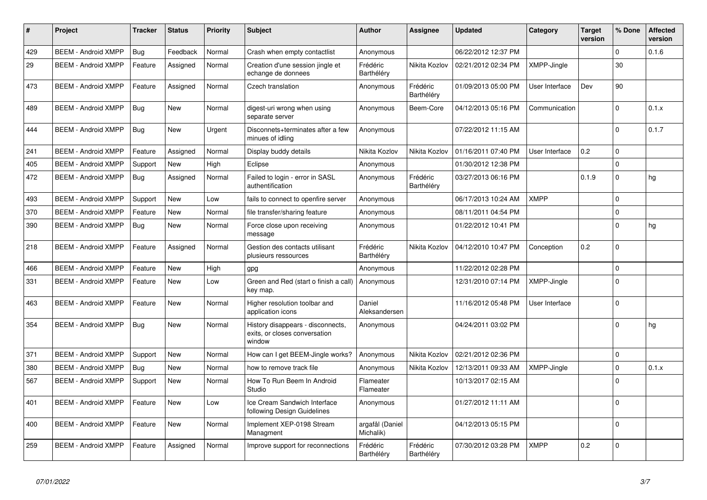| #   | Project                    | Tracker    | <b>Status</b> | <b>Priority</b> | <b>Subject</b>                                                               | <b>Author</b>                | Assignee               | <b>Updated</b>      | Category           | Target<br>version | % Done      | <b>Affected</b><br>version |
|-----|----------------------------|------------|---------------|-----------------|------------------------------------------------------------------------------|------------------------------|------------------------|---------------------|--------------------|-------------------|-------------|----------------------------|
| 429 | <b>BEEM - Android XMPP</b> | Bug        | Feedback      | Normal          | Crash when empty contactlist                                                 | Anonymous                    |                        | 06/22/2012 12:37 PM |                    |                   | $\mathbf 0$ | 0.1.6                      |
| 29  | <b>BEEM - Android XMPP</b> | Feature    | Assigned      | Normal          | Creation d'une session jingle et<br>echange de donnees                       | Frédéric<br>Barthéléry       | Nikita Kozlov          | 02/21/2012 02:34 PM | XMPP-Jingle        |                   | 30          |                            |
| 473 | <b>BEEM - Android XMPP</b> | Feature    | Assigned      | Normal          | Czech translation                                                            | Anonymous                    | Frédéric<br>Barthéléry | 01/09/2013 05:00 PM | User Interface     | Dev               | 90          |                            |
| 489 | <b>BEEM - Android XMPP</b> | Bug        | New           | Normal          | digest-uri wrong when using<br>separate server                               | Anonymous                    | Beem-Core              | 04/12/2013 05:16 PM | Communication      |                   | $\Omega$    | 0.1.x                      |
| 444 | <b>BEEM - Android XMPP</b> | Bug        | New           | Urgent          | Disconnets+terminates after a few<br>minues of idlina                        | Anonymous                    |                        | 07/22/2012 11:15 AM |                    |                   | $\Omega$    | 0.1.7                      |
| 241 | <b>BEEM - Android XMPP</b> | Feature    | Assigned      | Normal          | Display buddy details                                                        | Nikita Kozlov                | Nikita Kozlov          | 01/16/2011 07:40 PM | User Interface     | 0.2               | $\Omega$    |                            |
| 405 | <b>BEEM - Android XMPP</b> | Support    | <b>New</b>    | High            | Eclipse                                                                      | Anonymous                    |                        | 01/30/2012 12:38 PM |                    |                   | $\Omega$    |                            |
| 472 | <b>BEEM - Android XMPP</b> | <b>Bug</b> | Assigned      | Normal          | Failed to login - error in SASL<br>authentification                          | Anonymous                    | Frédéric<br>Barthéléry | 03/27/2013 06:16 PM |                    | 0.1.9             | $\Omega$    | hg                         |
| 493 | <b>BEEM - Android XMPP</b> | Support    | New           | Low             | fails to connect to openfire server                                          | Anonymous                    |                        | 06/17/2013 10:24 AM | <b>XMPP</b>        |                   | $\Omega$    |                            |
| 370 | <b>BEEM - Android XMPP</b> | Feature    | New           | Normal          | file transfer/sharing feature                                                | Anonymous                    |                        | 08/11/2011 04:54 PM |                    |                   | $\mathbf 0$ |                            |
| 390 | <b>BEEM - Android XMPP</b> | Bug        | New           | Normal          | Force close upon receiving<br>message                                        | Anonymous                    |                        | 01/22/2012 10:41 PM |                    |                   | $\Omega$    | hg                         |
| 218 | <b>BEEM - Android XMPP</b> | Feature    | Assigned      | Normal          | Gestion des contacts utilisant<br>plusieurs ressources                       | Frédéric<br>Barthéléry       | Nikita Kozlov          | 04/12/2010 10:47 PM | Conception         | 0.2               | $\Omega$    |                            |
| 466 | <b>BEEM - Android XMPP</b> | Feature    | New           | High            | gpg                                                                          | Anonymous                    |                        | 11/22/2012 02:28 PM |                    |                   | $\mathbf 0$ |                            |
| 331 | <b>BEEM - Android XMPP</b> | Feature    | New           | Low             | Green and Red (start o finish a call)<br>key map.                            | Anonymous                    |                        | 12/31/2010 07:14 PM | XMPP-Jingle        |                   | $\Omega$    |                            |
| 463 | <b>BEEM - Android XMPP</b> | Feature    | New           | Normal          | Higher resolution toolbar and<br>application icons                           | Daniel<br>Aleksandersen      |                        | 11/16/2012 05:48 PM | User Interface     |                   | $\mathbf 0$ |                            |
| 354 | <b>BEEM - Android XMPP</b> | Bug        | New           | Normal          | History disappears - disconnects,<br>exits, or closes conversation<br>window | Anonymous                    |                        | 04/24/2011 03:02 PM |                    |                   | $\Omega$    | hg                         |
| 371 | <b>BEEM - Android XMPP</b> | Support    | <b>New</b>    | Normal          | How can I get BEEM-Jingle works?                                             | Anonymous                    | Nikita Kozlov          | 02/21/2012 02:36 PM |                    |                   | $\Omega$    |                            |
| 380 | <b>BEEM - Android XMPP</b> | Bug        | <b>New</b>    | Normal          | how to remove track file                                                     | Anonymous                    | Nikita Kozlov          | 12/13/2011 09:33 AM | <b>XMPP-Jingle</b> |                   | $\mathbf 0$ | 0.1.x                      |
| 567 | <b>BEEM - Android XMPP</b> | Support    | New           | Normal          | How To Run Beem In Android<br>Studio                                         | Flameater<br>Flameater       |                        | 10/13/2017 02:15 AM |                    |                   | $\Omega$    |                            |
| 401 | <b>BEEM - Android XMPP</b> | Feature    | New           | Low             | Ice Cream Sandwich Interface<br>following Design Guidelines                  | Anonymous                    |                        | 01/27/2012 11:11 AM |                    |                   | $\Omega$    |                            |
| 400 | <b>BEEM - Android XMPP</b> | Feature    | New           | Normal          | Implement XEP-0198 Stream<br>Managment                                       | argafål (Daniel<br>Michalik) |                        | 04/12/2013 05:15 PM |                    |                   | $\Omega$    |                            |
| 259 | <b>BEEM - Android XMPP</b> | Feature    | Assigned      | Normal          | Improve support for reconnections                                            | Frédéric<br>Barthéléry       | Frédéric<br>Barthéléry | 07/30/2012 03:28 PM | <b>XMPP</b>        | 0.2               | $\Omega$    |                            |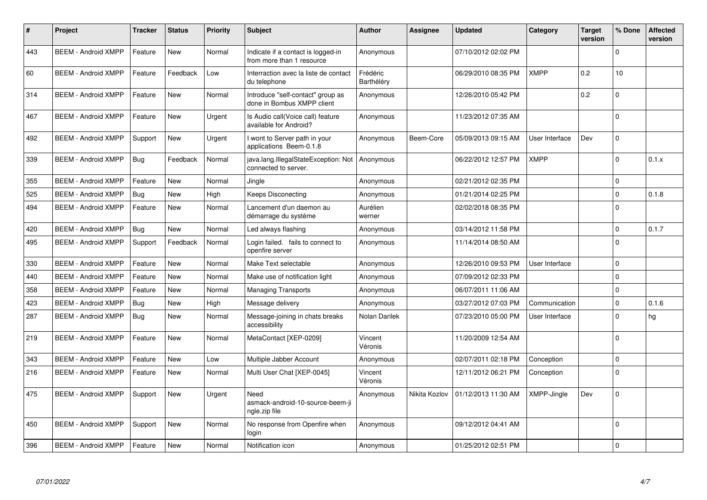| $\pmb{\#}$ | Project                    | <b>Tracker</b> | <b>Status</b> | Priority | <b>Subject</b>                                                  | <b>Author</b>          | Assignee      | <b>Updated</b>      | Category           | <b>Target</b><br>version | % Done   | <b>Affected</b><br>version |
|------------|----------------------------|----------------|---------------|----------|-----------------------------------------------------------------|------------------------|---------------|---------------------|--------------------|--------------------------|----------|----------------------------|
| 443        | <b>BEEM - Android XMPP</b> | Feature        | <b>New</b>    | Normal   | Indicate if a contact is logged-in<br>from more than 1 resource | Anonymous              |               | 07/10/2012 02:02 PM |                    |                          | $\Omega$ |                            |
| 60         | <b>BEEM - Android XMPP</b> | Feature        | Feedback      | Low      | Interraction avec la liste de contact<br>du telephone           | Frédéric<br>Barthéléry |               | 06/29/2010 08:35 PM | <b>XMPP</b>        | 0.2                      | 10       |                            |
| 314        | <b>BEEM - Android XMPP</b> | Feature        | <b>New</b>    | Normal   | Introduce "self-contact" group as<br>done in Bombus XMPP client | Anonymous              |               | 12/26/2010 05:42 PM |                    | 0.2                      | $\Omega$ |                            |
| 467        | <b>BEEM - Android XMPP</b> | Feature        | <b>New</b>    | Urgent   | Is Audio call(Voice call) feature<br>available for Android?     | Anonymous              |               | 11/23/2012 07:35 AM |                    |                          | $\Omega$ |                            |
| 492        | <b>BEEM - Android XMPP</b> | Support        | <b>New</b>    | Urgent   | I wont to Server path in your<br>applications Beem-0.1.8        | Anonymous              | Beem-Core     | 05/09/2013 09:15 AM | User Interface     | Dev                      | $\Omega$ |                            |
| 339        | <b>BEEM - Android XMPP</b> | Bug            | Feedback      | Normal   | java.lang.IllegalStateException: Not<br>connected to server.    | Anonymous              |               | 06/22/2012 12:57 PM | <b>XMPP</b>        |                          | $\Omega$ | 0.1.x                      |
| 355        | <b>BEEM - Android XMPP</b> | Feature        | New           | Normal   | Jingle                                                          | Anonymous              |               | 02/21/2012 02:35 PM |                    |                          | $\Omega$ |                            |
| 525        | <b>BEEM - Android XMPP</b> | Bug            | <b>New</b>    | High     | <b>Keeps Disconecting</b>                                       | Anonymous              |               | 01/21/2014 02:25 PM |                    |                          | $\Omega$ | 0.1.8                      |
| 494        | <b>BEEM - Android XMPP</b> | Feature        | <b>New</b>    | Normal   | Lancement d'un daemon au<br>démarrage du système                | Aurélien<br>werner     |               | 02/02/2018 08:35 PM |                    |                          | $\Omega$ |                            |
| 420        | <b>BEEM - Android XMPP</b> | Bug            | <b>New</b>    | Normal   | Led always flashing                                             | Anonymous              |               | 03/14/2012 11:58 PM |                    |                          | $\Omega$ | 0.1.7                      |
| 495        | <b>BEEM - Android XMPP</b> | Support        | Feedback      | Normal   | Login failed. fails to connect to<br>openfire server            | Anonymous              |               | 11/14/2014 08:50 AM |                    |                          | $\Omega$ |                            |
| 330        | <b>BEEM - Android XMPP</b> | Feature        | <b>New</b>    | Normal   | Make Text selectable                                            | Anonymous              |               | 12/26/2010 09:53 PM | User Interface     |                          | $\Omega$ |                            |
| 440        | <b>BEEM - Android XMPP</b> | Feature        | <b>New</b>    | Normal   | Make use of notification light                                  | Anonymous              |               | 07/09/2012 02:33 PM |                    |                          | $\Omega$ |                            |
| 358        | <b>BEEM - Android XMPP</b> | Feature        | <b>New</b>    | Normal   | <b>Managing Transports</b>                                      | Anonymous              |               | 06/07/2011 11:06 AM |                    |                          | $\Omega$ |                            |
| 423        | <b>BEEM - Android XMPP</b> | Bug            | New           | High     | Message delivery                                                | Anonymous              |               | 03/27/2012 07:03 PM | Communication      |                          | $\Omega$ | 0.1.6                      |
| 287        | <b>BEEM - Android XMPP</b> | Bug            | New           | Normal   | Message-joining in chats breaks<br>accessibility                | Nolan Darilek          |               | 07/23/2010 05:00 PM | User Interface     |                          | $\Omega$ | hg                         |
| 219        | <b>BEEM - Android XMPP</b> | Feature        | <b>New</b>    | Normal   | MetaContact [XEP-0209]                                          | Vincent<br>Véronis     |               | 11/20/2009 12:54 AM |                    |                          | $\Omega$ |                            |
| 343        | <b>BEEM - Android XMPP</b> | Feature        | <b>New</b>    | Low      | Multiple Jabber Account                                         | Anonymous              |               | 02/07/2011 02:18 PM | Conception         |                          | $\Omega$ |                            |
| 216        | <b>BEEM - Android XMPP</b> | Feature        | <b>New</b>    | Normal   | Multi User Chat [XEP-0045]                                      | Vincent<br>Véronis     |               | 12/11/2012 06:21 PM | Conception         |                          | $\Omega$ |                            |
| 475        | <b>BEEM - Android XMPP</b> | Support        | <b>New</b>    | Urgent   | Need<br>asmack-android-10-source-beem-ji<br>ngle.zip file       | Anonymous              | Nikita Kozlov | 01/12/2013 11:30 AM | <b>XMPP-Jingle</b> | Dev                      | $\Omega$ |                            |
| 450        | <b>BEEM - Android XMPP</b> | Support        | <b>New</b>    | Normal   | No response from Openfire when<br>login                         | Anonymous              |               | 09/12/2012 04:41 AM |                    |                          | $\Omega$ |                            |
| 396        | <b>BEEM - Android XMPP</b> | Feature        | <b>New</b>    | Normal   | Notification icon                                               | Anonymous              |               | 01/25/2012 02:51 PM |                    |                          | $\Omega$ |                            |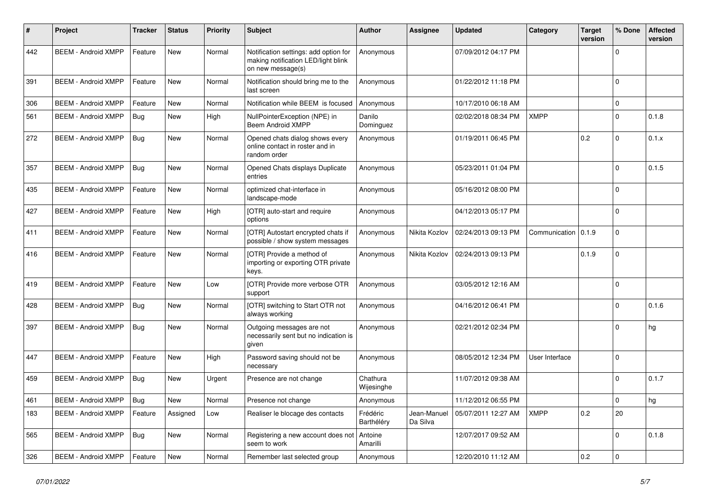| #   | Project                    | <b>Tracker</b> | <b>Status</b> | <b>Priority</b> | <b>Subject</b>                                                                                    | <b>Author</b>          | Assignee                | <b>Updated</b>      | Category       | <b>Target</b><br>version | % Done      | <b>Affected</b><br>version |
|-----|----------------------------|----------------|---------------|-----------------|---------------------------------------------------------------------------------------------------|------------------------|-------------------------|---------------------|----------------|--------------------------|-------------|----------------------------|
| 442 | <b>BEEM - Android XMPP</b> | Feature        | <b>New</b>    | Normal          | Notification settings: add option for<br>making notification LED/light blink<br>on new message(s) | Anonymous              |                         | 07/09/2012 04:17 PM |                |                          | 0           |                            |
| 391 | <b>BEEM - Android XMPP</b> | Feature        | <b>New</b>    | Normal          | Notification should bring me to the<br>last screen                                                | Anonymous              |                         | 01/22/2012 11:18 PM |                |                          | $\Omega$    |                            |
| 306 | <b>BEEM - Android XMPP</b> | Feature        | New           | Normal          | Notification while BEEM is focused                                                                | Anonymous              |                         | 10/17/2010 06:18 AM |                |                          | $\mathbf 0$ |                            |
| 561 | <b>BEEM - Android XMPP</b> | <b>Bug</b>     | New           | High            | NullPointerException (NPE) in<br><b>Beem Android XMPP</b>                                         | Danilo<br>Dominguez    |                         | 02/02/2018 08:34 PM | <b>XMPP</b>    |                          | $\Omega$    | 0.1.8                      |
| 272 | <b>BEEM - Android XMPP</b> | Bug            | New           | Normal          | Opened chats dialog shows every<br>online contact in roster and in<br>random order                | Anonymous              |                         | 01/19/2011 06:45 PM |                | 0.2                      | $\Omega$    | 0.1.x                      |
| 357 | <b>BEEM - Android XMPP</b> | Bug            | <b>New</b>    | Normal          | Opened Chats displays Duplicate<br>entries                                                        | Anonymous              |                         | 05/23/2011 01:04 PM |                |                          | $\Omega$    | 0.1.5                      |
| 435 | <b>BEEM - Android XMPP</b> | Feature        | New           | Normal          | optimized chat-interface in<br>landscape-mode                                                     | Anonymous              |                         | 05/16/2012 08:00 PM |                |                          | $\Omega$    |                            |
| 427 | <b>BEEM - Android XMPP</b> | Feature        | <b>New</b>    | High            | [OTR] auto-start and require<br>options                                                           | Anonymous              |                         | 04/12/2013 05:17 PM |                |                          | $\Omega$    |                            |
| 411 | <b>BEEM - Android XMPP</b> | Feature        | <b>New</b>    | Normal          | [OTR] Autostart encrypted chats if<br>possible / show system messages                             | Anonymous              | Nikita Kozlov           | 02/24/2013 09:13 PM | Communication  | 0.1.9                    | $\Omega$    |                            |
| 416 | <b>BEEM - Android XMPP</b> | Feature        | New           | Normal          | [OTR] Provide a method of<br>importing or exporting OTR private<br>keys.                          | Anonymous              | Nikita Kozlov           | 02/24/2013 09:13 PM |                | 0.1.9                    | $\Omega$    |                            |
| 419 | <b>BEEM - Android XMPP</b> | Feature        | <b>New</b>    | Low             | [OTR] Provide more verbose OTR<br>support                                                         | Anonymous              |                         | 03/05/2012 12:16 AM |                |                          | $\Omega$    |                            |
| 428 | <b>BEEM - Android XMPP</b> | <b>Bug</b>     | <b>New</b>    | Normal          | [OTR] switching to Start OTR not<br>always working                                                | Anonymous              |                         | 04/16/2012 06:41 PM |                |                          | $\Omega$    | 0.1.6                      |
| 397 | <b>BEEM - Android XMPP</b> | <b>Bug</b>     | <b>New</b>    | Normal          | Outgoing messages are not<br>necessarily sent but no indication is<br>aiven                       | Anonymous              |                         | 02/21/2012 02:34 PM |                |                          | $\Omega$    | hg                         |
| 447 | <b>BEEM - Android XMPP</b> | Feature        | <b>New</b>    | High            | Password saving should not be<br>necessary                                                        | Anonymous              |                         | 08/05/2012 12:34 PM | User Interface |                          | $\Omega$    |                            |
| 459 | <b>BEEM - Android XMPP</b> | <b>Bug</b>     | New           | Urgent          | Presence are not change                                                                           | Chathura<br>Wijesinghe |                         | 11/07/2012 09:38 AM |                |                          | $\Omega$    | 0.1.7                      |
| 461 | <b>BEEM - Android XMPP</b> | Bug            | New           | Normal          | Presence not change                                                                               | Anonymous              |                         | 11/12/2012 06:55 PM |                |                          | $\mathbf 0$ | hg                         |
| 183 | <b>BEEM - Android XMPP</b> | Feature        | Assigned      | Low             | Realiser le blocage des contacts                                                                  | Frédéric<br>Barthéléry | Jean-Manuel<br>Da Silva | 05/07/2011 12:27 AM | XMPP           | 0.2                      | 20          |                            |
| 565 | <b>BEEM - Android XMPP</b> | Bug            | New           | Normal          | Registering a new account does not<br>seem to work                                                | Antoine<br>Amarilli    |                         | 12/07/2017 09:52 AM |                |                          | $\Omega$    | 0.1.8                      |
| 326 | <b>BEEM - Android XMPP</b> | Feature        | <b>New</b>    | Normal          | Remember last selected group                                                                      | Anonymous              |                         | 12/20/2010 11:12 AM |                | 0.2                      | $\mathbf 0$ |                            |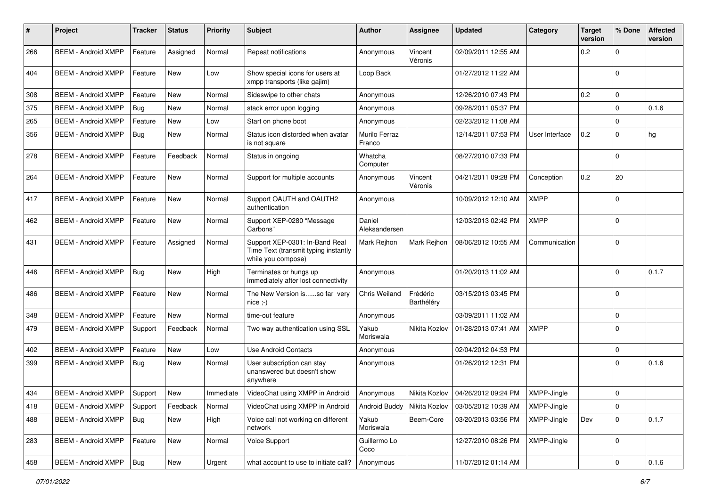| #   | Project                    | <b>Tracker</b> | <b>Status</b> | <b>Priority</b> | Subject                                                                                      | <b>Author</b>           | <b>Assignee</b>        | <b>Updated</b>        | Category       | <b>Target</b><br>version | % Done      | <b>Affected</b><br>version |
|-----|----------------------------|----------------|---------------|-----------------|----------------------------------------------------------------------------------------------|-------------------------|------------------------|-----------------------|----------------|--------------------------|-------------|----------------------------|
| 266 | <b>BEEM - Android XMPP</b> | Feature        | Assigned      | Normal          | Repeat notifications                                                                         | Anonymous               | Vincent<br>Véronis     | 02/09/2011 12:55 AM   |                | 0.2                      | 0           |                            |
| 404 | <b>BEEM - Android XMPP</b> | Feature        | <b>New</b>    | Low             | Show special icons for users at<br>xmpp transports (like gajim)                              | Loop Back               |                        | 01/27/2012 11:22 AM   |                |                          | $\Omega$    |                            |
| 308 | <b>BEEM - Android XMPP</b> | Feature        | <b>New</b>    | Normal          | Sideswipe to other chats                                                                     | Anonymous               |                        | 12/26/2010 07:43 PM   |                | 0.2                      | $\mathbf 0$ |                            |
| 375 | <b>BEEM - Android XMPP</b> | Bug            | <b>New</b>    | Normal          | stack error upon logging                                                                     | Anonymous               |                        | 09/28/2011 05:37 PM   |                |                          | $\mathbf 0$ | 0.1.6                      |
| 265 | <b>BEEM - Android XMPP</b> | Feature        | New           | Low             | Start on phone boot                                                                          | Anonymous               |                        | 02/23/2012 11:08 AM   |                |                          | $\mathbf 0$ |                            |
| 356 | <b>BEEM - Android XMPP</b> | Bug            | New           | Normal          | Status icon distorded when avatar<br>is not square                                           | Murilo Ferraz<br>Franco |                        | 12/14/2011 07:53 PM   | User Interface | 0.2                      | $\Omega$    | hg                         |
| 278 | <b>BEEM - Android XMPP</b> | Feature        | Feedback      | Normal          | Status in ongoing                                                                            | Whatcha<br>Computer     |                        | 08/27/2010 07:33 PM   |                |                          | $\Omega$    |                            |
| 264 | <b>BEEM - Android XMPP</b> | Feature        | <b>New</b>    | Normal          | Support for multiple accounts                                                                | Anonymous               | Vincent<br>Véronis     | 04/21/2011 09:28 PM   | Conception     | 0.2                      | 20          |                            |
| 417 | <b>BEEM - Android XMPP</b> | Feature        | <b>New</b>    | Normal          | Support OAUTH and OAUTH2<br>authentication                                                   | Anonymous               |                        | 10/09/2012 12:10 AM   | <b>XMPP</b>    |                          | $\Omega$    |                            |
| 462 | <b>BEEM - Android XMPP</b> | Feature        | <b>New</b>    | Normal          | Support XEP-0280 "Message<br>Carbons"                                                        | Daniel<br>Aleksandersen |                        | 12/03/2013 02:42 PM   | XMPP           |                          | $\Omega$    |                            |
| 431 | <b>BEEM - Android XMPP</b> | Feature        | Assigned      | Normal          | Support XEP-0301: In-Band Real<br>Time Text (transmit typing instantly<br>while you compose) | Mark Rejhon             | Mark Rejhon            | 08/06/2012 10:55 AM   | Communication  |                          | $\Omega$    |                            |
| 446 | <b>BEEM - Android XMPP</b> | Bug            | New           | High            | Terminates or hungs up<br>immediately after lost connectivity                                | Anonymous               |                        | 01/20/2013 11:02 AM   |                |                          | $\Omega$    | 0.1.7                      |
| 486 | <b>BEEM - Android XMPP</b> | Feature        | <b>New</b>    | Normal          | The New Version isso far very<br>$nice$ :-)                                                  | Chris Weiland           | Frédéric<br>Barthéléry | 03/15/2013 03:45 PM   |                |                          | $\Omega$    |                            |
| 348 | <b>BEEM - Android XMPP</b> | Feature        | New           | Normal          | time-out feature                                                                             | Anonymous               |                        | 03/09/2011 11:02 AM   |                |                          | $\mathbf 0$ |                            |
| 479 | <b>BEEM - Android XMPP</b> | Support        | Feedback      | Normal          | Two way authentication using SSL                                                             | Yakub<br>Moriswala      | Nikita Kozlov          | 01/28/2013 07:41 AM   | <b>XMPP</b>    |                          | $\Omega$    |                            |
| 402 | <b>BEEM - Android XMPP</b> | Feature        | <b>New</b>    | Low             | <b>Use Android Contacts</b>                                                                  | Anonymous               |                        | 02/04/2012 04:53 PM   |                |                          | $\Omega$    |                            |
| 399 | <b>BEEM - Android XMPP</b> | Bug            | <b>New</b>    | Normal          | User subscription can stay<br>unanswered but doesn't show<br>anywhere                        | Anonymous               |                        | 01/26/2012 12:31 PM   |                |                          | $\Omega$    | 0.1.6                      |
| 434 | <b>BEEM - Android XMPP</b> | Support        | <b>New</b>    | Immediate       | VideoChat using XMPP in Android                                                              | Anonymous               | Nikita Kozlov          | l 04/26/2012 09:24 PM | XMPP-Jingle    |                          | $\mathbf 0$ |                            |
| 418 | <b>BEEM - Android XMPP</b> | Support        | Feedback      | Normal          | VideoChat using XMPP in Android                                                              | Android Buddy           | Nikita Kozlov          | 03/05/2012 10:39 AM   | XMPP-Jingle    |                          | 0           |                            |
| 488 | <b>BEEM - Android XMPP</b> | <b>Bug</b>     | New           | High            | Voice call not working on different<br>network                                               | Yakub<br>Moriswala      | Beem-Core              | 03/20/2013 03:56 PM   | XMPP-Jingle    | Dev                      | $\mathbf 0$ | 0.1.7                      |
| 283 | <b>BEEM - Android XMPP</b> | Feature        | New           | Normal          | Voice Support                                                                                | Guillermo Lo<br>Coco    |                        | 12/27/2010 08:26 PM   | XMPP-Jingle    |                          | $\mathbf 0$ |                            |
| 458 | <b>BEEM - Android XMPP</b> | Bug            | New           | Urgent          | what account to use to initiate call?                                                        | Anonymous               |                        | 11/07/2012 01:14 AM   |                |                          | 0           | 0.1.6                      |